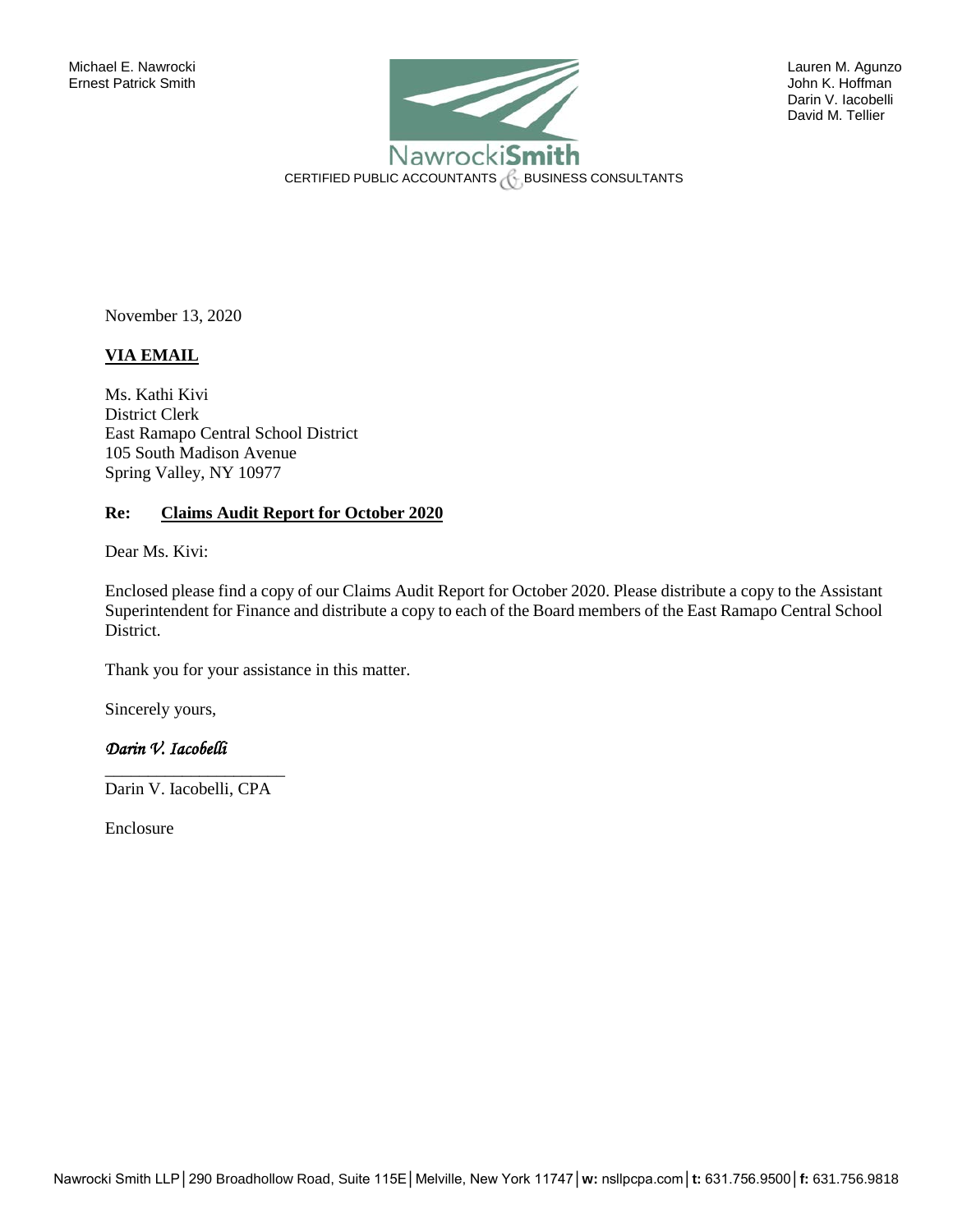

David M. Tellier

November 13, 2020

## **VIA EMAIL**

Ms. Kathi Kivi District Clerk East Ramapo Central School District 105 South Madison Avenue Spring Valley, NY 10977

## **Re: Claims Audit Report for October 2020**

Dear Ms. Kivi:

Enclosed please find a copy of our Claims Audit Report for October 2020. Please distribute a copy to the Assistant Superintendent for Finance and distribute a copy to each of the Board members of the East Ramapo Central School District.

Thank you for your assistance in this matter.

Sincerely yours,

## *Darin V. Iacobelli*

\_\_\_\_\_\_\_\_\_\_\_\_\_\_\_\_\_\_\_\_\_ Darin V. Iacobelli, CPA

Enclosure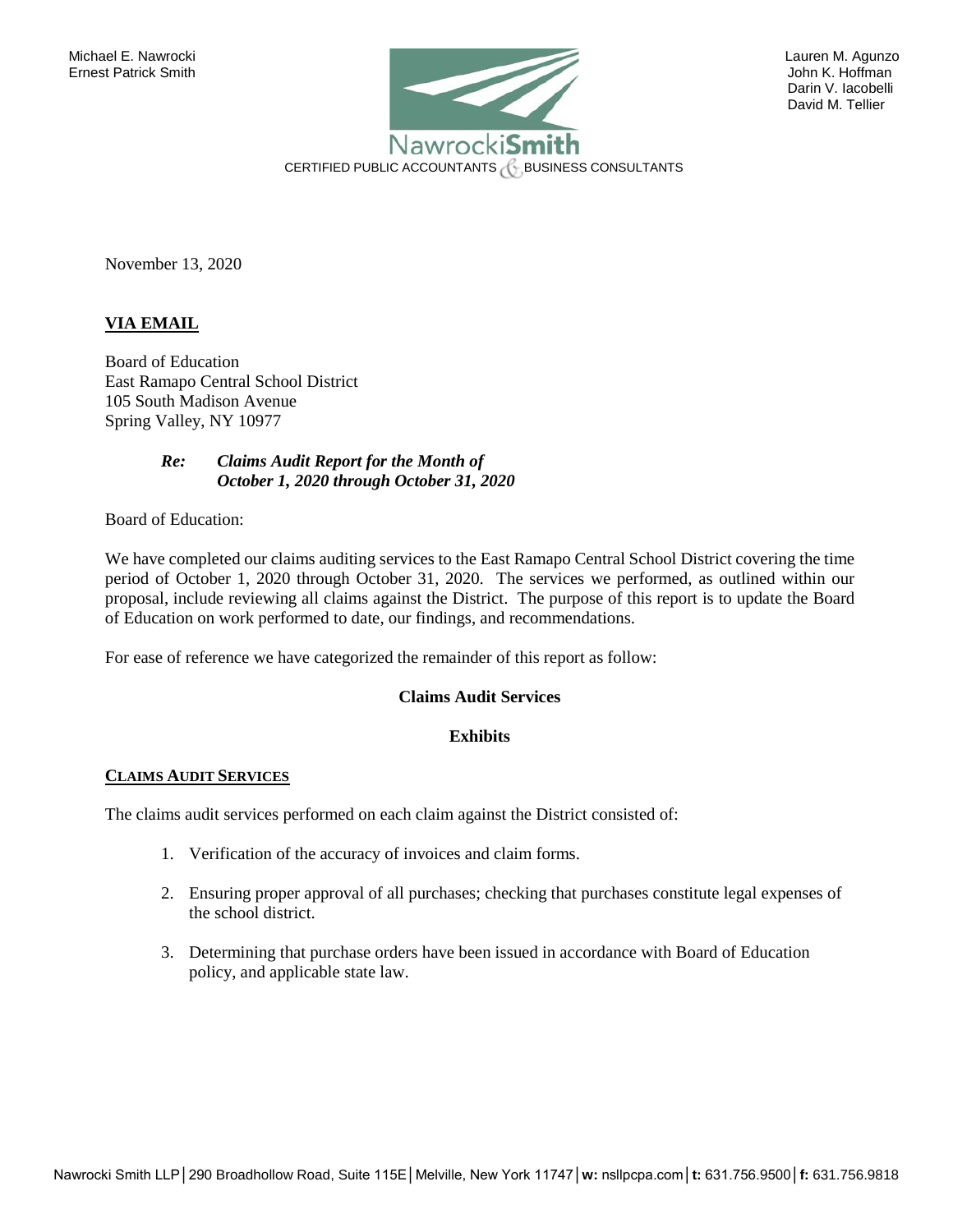

David M. Tellier

November 13, 2020

## **VIA EMAIL**

Board of Education East Ramapo Central School District 105 South Madison Avenue Spring Valley, NY 10977

> *Re: Claims Audit Report for the Month of October 1, 2020 through October 31, 2020*

Board of Education:

We have completed our claims auditing services to the East Ramapo Central School District covering the time period of October 1, 2020 through October 31, 2020. The services we performed, as outlined within our proposal, include reviewing all claims against the District. The purpose of this report is to update the Board of Education on work performed to date, our findings, and recommendations.

For ease of reference we have categorized the remainder of this report as follow:

## **Claims Audit Services**

### **Exhibits**

#### **CLAIMS AUDIT SERVICES**

The claims audit services performed on each claim against the District consisted of:

- 1. Verification of the accuracy of invoices and claim forms.
- 2. Ensuring proper approval of all purchases; checking that purchases constitute legal expenses of the school district.
- 3. Determining that purchase orders have been issued in accordance with Board of Education policy, and applicable state law.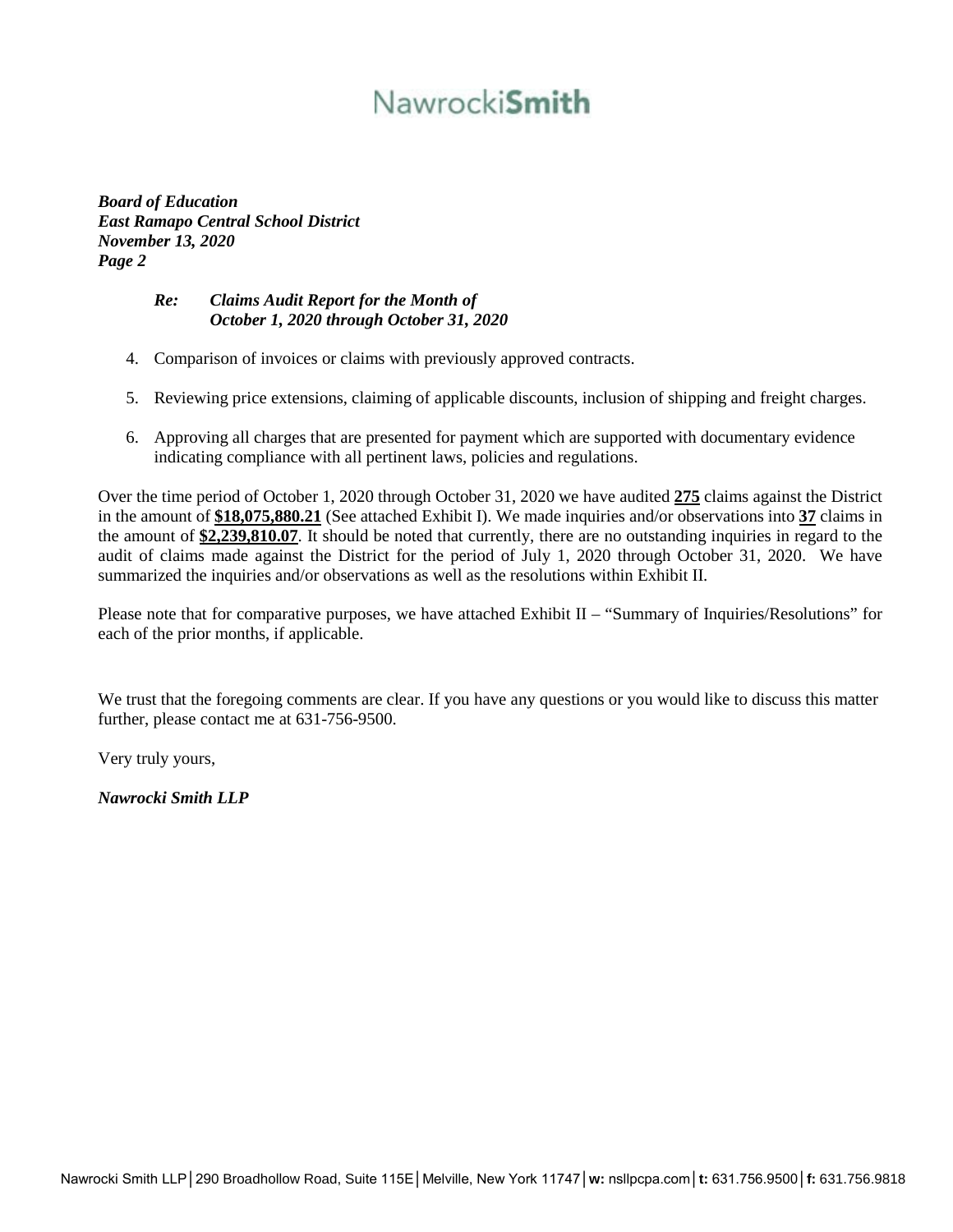# Nawrocki**Smith**

*Board of Education East Ramapo Central School District November 13, 2020 Page 2* 

# *Re: Claims Audit Report for the Month of October 1, 2020 through October 31, 2020*

- 4. Comparison of invoices or claims with previously approved contracts.
- 5. Reviewing price extensions, claiming of applicable discounts, inclusion of shipping and freight charges.
- 6. Approving all charges that are presented for payment which are supported with documentary evidence indicating compliance with all pertinent laws, policies and regulations.

Over the time period of October 1, 2020 through October 31, 2020 we have audited **275** claims against the District in the amount of **\$18,075,880.21** (See attached Exhibit I). We made inquiries and/or observations into **37** claims in the amount of **\$2,239,810.07**. It should be noted that currently, there are no outstanding inquiries in regard to the audit of claims made against the District for the period of July 1, 2020 through October 31, 2020. We have summarized the inquiries and/or observations as well as the resolutions within Exhibit II.

Please note that for comparative purposes, we have attached Exhibit II – "Summary of Inquiries/Resolutions" for each of the prior months, if applicable.

We trust that the foregoing comments are clear. If you have any questions or you would like to discuss this matter further, please contact me at 631-756-9500.

Very truly yours,

*Nawrocki Smith LLP*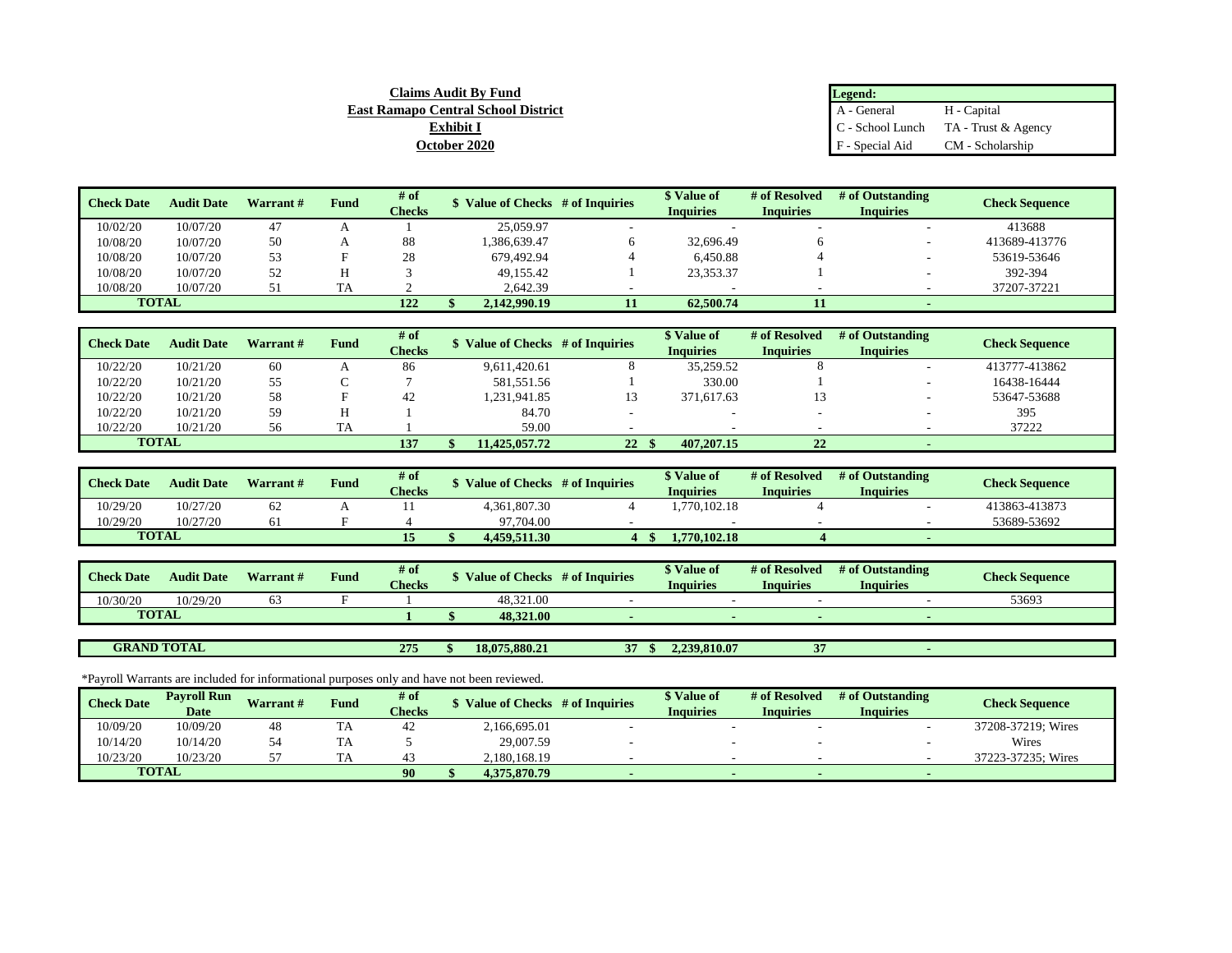| Legend:          |                     |
|------------------|---------------------|
| A - General      | H - Capital         |
| C - School Lunch | TA - Trust & Agency |
| F - Special Aid  | CM - Scholarship    |

| <b>Check Date</b> | <b>Audit Date</b> | Warrant # | Fund | $#$ of        | Value of Checks # of Inquiries | S Value of       | # of Resolved    | # of Outstanding | <b>Check Sequence</b> |
|-------------------|-------------------|-----------|------|---------------|--------------------------------|------------------|------------------|------------------|-----------------------|
|                   |                   |           |      | <b>Checks</b> |                                | <b>Inquiries</b> | <b>Inquiries</b> | <b>Inquiries</b> |                       |
| 10/02/20          | 10/07/20          | 47        |      |               | 25,059.97                      |                  |                  |                  | 413688                |
| 10/08/20          | 10/07/20          | 50        |      | 88            | 1.386.639.47                   | 32,696.49        |                  | -                | 413689-413776         |
| 10/08/20          | 10/07/20          | 53        |      | 28            | 679.492.94                     | 6,450.88         |                  |                  | 53619-53646           |
| 10/08/20          | 10/07/20          | 52        |      |               | 49,155.42                      | 23,353.37        |                  |                  | 392-394               |
| 10/08/20          | 10/07/20          |           | TA   |               | 2.642.39                       |                  |                  |                  | 37207-37221           |
| <b>TOTAL</b>      |                   |           |      | 122           | 2.142.990.19                   | 62,500.74        |                  |                  |                       |

**Claims Audit By Fund East Ramapo Central School District Exhibit I October 2020**

| <b>Check Date</b> | <b>Audit Date</b> | Warrant # | <b>Fund</b> | # of          | \$ Value of Checks # of Inquiries |                 | Value of         | # of Resolved                        | # of Outstanding | <b>Check Sequence</b> |
|-------------------|-------------------|-----------|-------------|---------------|-----------------------------------|-----------------|------------------|--------------------------------------|------------------|-----------------------|
|                   |                   |           |             | <b>Checks</b> |                                   |                 | <b>Inquiries</b> | <b>Inquiries</b><br><b>Inquiries</b> |                  |                       |
| 10/22/20          | 10/21/20          | 60        |             | 86            | 9.611.420.61                      |                 | 35,259.52        |                                      |                  | 413777-413862         |
| 10/22/20          | 10/21/20          | 55        |             |               | 581.551.56                        |                 | 330.00           |                                      |                  | 16438-16444           |
| 10/22/20          | 10/21/20          | 58        |             | 42            | 1,231,941.85                      |                 | 371,617.63       |                                      |                  | 53647-53688           |
| 10/22/20          | 10/21/20          | 59        |             |               | 84.70                             |                 |                  |                                      |                  | 395                   |
| 10/22/20          | 10/21/20          | 56        |             |               | 59.00                             |                 |                  |                                      |                  | 37222                 |
| <b>TOTAL</b>      |                   |           |             | 137           | 11,425,057,72                     | 22 <sup>8</sup> | 407,207.15       | 22                                   |                  |                       |

| <b>Check Date</b> | <b>Audit Date</b> | Warrant# | Fund | # of<br><b>Checks</b> |              | S Value of Checks # of Inquiries | <i>Nalue of</i><br>Inauiries | # of Resolved<br>Inquiries | # of Outstanding<br>Inquiries | <b>Check Sequence</b> |
|-------------------|-------------------|----------|------|-----------------------|--------------|----------------------------------|------------------------------|----------------------------|-------------------------------|-----------------------|
| 10/29/20          | 10/27/20          | 62       |      |                       | 4.361.807.30 |                                  | .770.102.18                  |                            |                               | 413863-413873         |
| 10/29/20          | 10/27/20          | 61       |      |                       | 97,704.00    |                                  |                              |                            |                               | 53689-53692           |
| <b>TOTAL</b>      |                   |          |      | ⊥J                    | 4.459.511.30 |                                  | 1.770.102.18                 |                            |                               |                       |

| <b>Check Date</b> | <b>Audit Date</b> | <b>Warrant</b> # | ∽.<br>Fund | # of<br><b>Checks</b> | Value of Checks | # of Inquiries | Value of<br>Inquiries | # of Resolved<br>Inauiries | # of Outstanding<br>Inquiries | <b>Check Sequence</b> |
|-------------------|-------------------|------------------|------------|-----------------------|-----------------|----------------|-----------------------|----------------------------|-------------------------------|-----------------------|
| 10/30/20          | 10/29/20          |                  |            |                       | 48.321.00       |                |                       |                            |                               | 53693                 |
| <b>TOTAL</b>      |                   |                  |            |                       | 48.321.00       |                |                       |                            |                               |                       |
|                   |                   |                  |            |                       |                 |                |                       |                            |                               |                       |

**275 \$ 18,075,880.21 37 \$ 2,239,810.07 37 -** 

\*Payroll Warrants are included for informational purposes only and have not been reviewed.

**GRAND TOTAL**

| <b>Check Date</b> | <b>Pavroll Run</b> | <b>Warrant#</b> | <b>Fund</b> | # of          | Value of Checks | # of Inquiries | Value of  | # of Resolved    | # of Outstanding | <b>Check Sequence</b> |
|-------------------|--------------------|-----------------|-------------|---------------|-----------------|----------------|-----------|------------------|------------------|-----------------------|
|                   | <b>Date</b>        |                 |             | <b>Checks</b> |                 |                | Inauiries | <b>Inquiries</b> | <b>Inquiries</b> |                       |
| 10/09/20          | 10/09/20           | 48              | TA          | 44            | 2,166,695.01    |                |           |                  |                  | 37208-37219: Wires    |
| 10/14/20          | 10/14/20           |                 | <b>TA</b>   |               | 29,007.59       |                |           |                  |                  | Wires                 |
| 10/23/20          | 10/23/20           |                 |             |               | 2,180,168.19    |                |           |                  |                  | 37223-37235; Wires    |
|                   | <b>TOTAL</b>       |                 |             | 90            | 4.375.870.79    |                |           |                  |                  |                       |